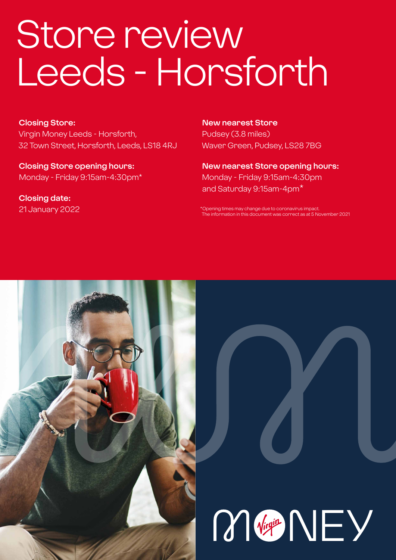# Store review Leeds - Horsforth

#### **Closing Store:**

Virgin Money Leeds - Horsforth, 32 Town Street, Horsforth, Leeds, LS18 4RJ

**Closing Store opening hours:**  Monday - Friday 9:15am-4:30pm\*

**Closing date:**  21 January 2022 **New nearest Store** Pudsey (3.8 miles) Waver Green, Pudsey, LS28 7BG

**New nearest Store opening hours:** Monday - Friday 9:15am-4:30pm and Saturday 9:15am-4pm\*

\*Opening times may change due to coronavirus impact. The information in this document was correct as at 5 November 2021



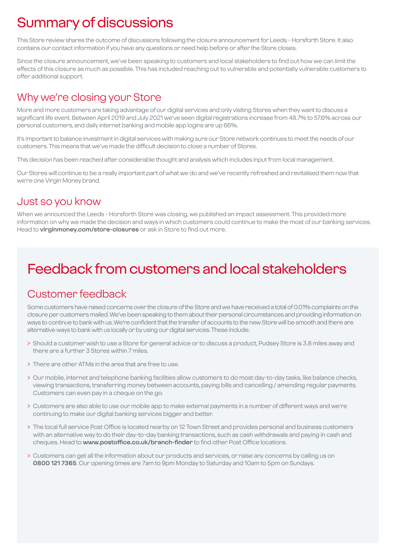# Summary of discussions

This Store review shares the outcome of discussions following the closure announcement for Leeds - Horsforth Store. It also contains our contact information if you have any questions or need help before or after the Store closes.

Since the closure announcement, we've been speaking to customers and local stakeholders to find out how we can limit the effects of this closure as much as possible. This has included reaching out to vulnerable and potentially vulnerable customers to offer additional support.

### Why we're closing your Store

More and more customers are taking advantage of our digital services and only visiting Stores when they want to discuss a significant life event. Between April 2019 and July 2021 we've seen digital registrations increase from 48.7% to 57.6% across our personal customers, and daily internet banking and mobile app logins are up 66%.

It's important to balance investment in digital services with making sure our Store network continues to meet the needs of our customers. This means that we've made the difficult decision to close a number of Stores.

This decision has been reached after considerable thought and analysis which includes input from local management.

Our Stores will continue to be a really important part of what we do and we've recently refreshed and revitalised them now that we're one Virgin Money brand.

### Just so you know

When we announced the Leeds - Horsforth Store was closing, we published an impact assessment. This provided more information on why we made the decision and ways in which customers could continue to make the most of our banking services. Head to **virginmoney.com/store-closures** or ask in Store to find out more.

# Feedback from customers and local stakeholders

### Customer feedback

Some customers have raised concerns over the closure of the Store and we have received a total of 0.01% complaints on the closure per customers mailed. We've been speaking to them about their personal circumstances and providing information on ways to continue to bank with us. We're confident that the transfer of accounts to the new Store will be smooth and there are alternative ways to bank with us locally or by using our digital services. These include:

- > Should a customer wish to use a Store for general advice or to discuss a product, Pudsey Store is 3.8 miles away and there are a further 3 Stores within 7 miles.
- > There are other ATMs in the area that are free to use.
- > Our mobile, internet and telephone banking facilities allow customers to do most day-to-day tasks, like balance checks, viewing transactions, transferring money between accounts, paying bills and cancelling / amending regular payments. Customers can even pay in a cheque on the go.
- > Customers are also able to use our mobile app to make external payments in a number of different ways and we're continuing to make our digital banking services bigger and better.
- > The local full service Post Office is located nearby on 12 Town Street and provides personal and business customers with an alternative way to do their day-to-day banking transactions, such as cash withdrawals and paying in cash and cheques. Head to **www.postoffice.co.uk/branch-finder** to find other Post Office locations.
- > Customers can get all the information about our products and services, or raise any concerns by calling us on **0800 121 7365**. Our opening times are 7am to 9pm Monday to Saturday and 10am to 5pm on Sundays.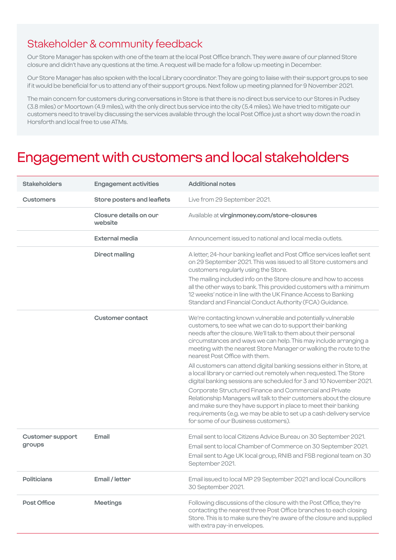### Stakeholder & community feedback

Our Store Manager has spoken with one of the team at the local Post Office branch. They were aware of our planned Store closure and didn't have any questions at the time. A request will be made for a follow up meeting in December.

Our Store Manager has also spoken with the local Library coordinator. They are going to liaise with their support groups to see if it would be beneficial for us to attend any of their support groups. Next follow up meeting planned for 9 November 2021.

The main concern for customers during conversations in Store is that there is no direct bus service to our Stores in Pudsey (3.8 miles) or Moortown (4.9 miles), with the only direct bus service into the city (5.4 miles). We have tried to mitigate our customers need to travel by discussing the services available through the local Post Office just a short way down the road in Horsforth and local free to use ATMs.

### Engagement with customers and local stakeholders

| <b>Stakeholders</b>               | <b>Engagement activities</b>      | <b>Additional notes</b>                                                                                                                                                                                                                                                                                                                                                                                                                                                                                                              |
|-----------------------------------|-----------------------------------|--------------------------------------------------------------------------------------------------------------------------------------------------------------------------------------------------------------------------------------------------------------------------------------------------------------------------------------------------------------------------------------------------------------------------------------------------------------------------------------------------------------------------------------|
| <b>Customers</b>                  | Store posters and leaflets        | Live from 29 September 2021.                                                                                                                                                                                                                                                                                                                                                                                                                                                                                                         |
|                                   | Closure details on our<br>website | Available at virginmoney.com/store-closures                                                                                                                                                                                                                                                                                                                                                                                                                                                                                          |
|                                   | External media                    | Announcement issued to national and local media outlets.                                                                                                                                                                                                                                                                                                                                                                                                                                                                             |
|                                   | <b>Direct mailing</b>             | A letter, 24-hour banking leaflet and Post Office services leaflet sent<br>on 29 September 2021. This was issued to all Store customers and<br>customers regularly using the Store.                                                                                                                                                                                                                                                                                                                                                  |
|                                   |                                   | The mailing included info on the Store closure and how to access<br>all the other ways to bank. This provided customers with a minimum<br>12 weeks' notice in line with the UK Finance Access to Banking<br>Standard and Financial Conduct Authority (FCA) Guidance.                                                                                                                                                                                                                                                                 |
|                                   | <b>Customer contact</b>           | We're contacting known vulnerable and potentially vulnerable<br>customers, to see what we can do to support their banking<br>needs after the closure. We'll talk to them about their personal<br>circumstances and ways we can help. This may include arranging a<br>meeting with the nearest Store Manager or walking the route to the<br>nearest Post Office with them.                                                                                                                                                            |
|                                   |                                   | All customers can attend digital banking sessions either in Store, at<br>a local library or carried out remotely when requested. The Store<br>digital banking sessions are scheduled for 3 and 10 November 2021.<br>Corporate Structured Finance and Commercial and Private<br>Relationship Managers will talk to their customers about the closure<br>and make sure they have support in place to meet their banking<br>requirements (e.g. we may be able to set up a cash delivery service<br>for some of our Business customers). |
| <b>Customer support</b><br>groups | Email                             | Email sent to local Citizens Advice Bureau on 30 September 2021.<br>Email sent to local Chamber of Commerce on 30 September 2021.<br>Email sent to Age UK local group, RNIB and FSB regional team on 30<br>September 2021.                                                                                                                                                                                                                                                                                                           |
| <b>Politicians</b>                | Email / letter                    | Email issued to local MP 29 September 2021 and local Councillors<br>30 September 2021.                                                                                                                                                                                                                                                                                                                                                                                                                                               |
| Post Office                       | <b>Meetings</b>                   | Following discussions of the closure with the Post Office, they're<br>contacting the nearest three Post Office branches to each closing<br>Store. This is to make sure they're aware of the closure and supplied<br>with extra pay-in envelopes.                                                                                                                                                                                                                                                                                     |